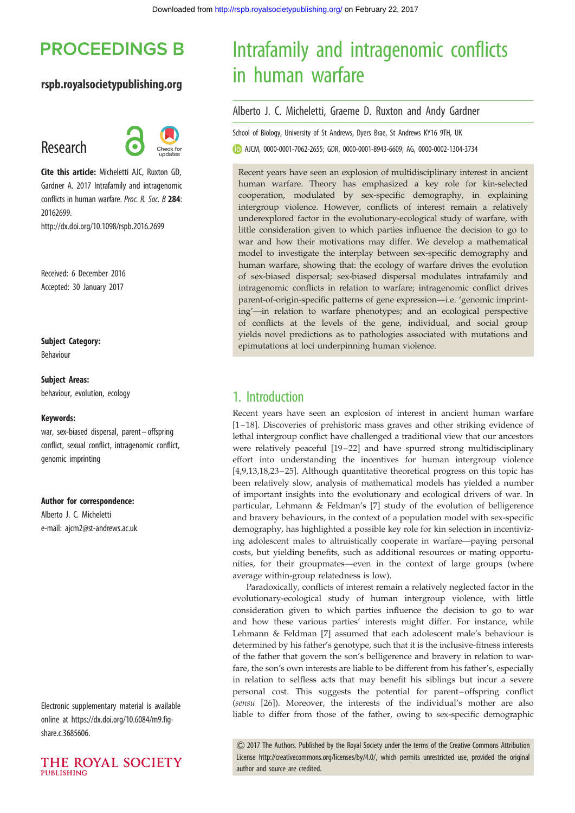## **PROCEEDINGS B**

## rspb.royalsocietypublishing.org

## Research



Cite this article: Micheletti AJC, Ruxton GD, Gardner A. 2017 Intrafamily and intragenomic conflicts in human warfare. Proc. R. Soc. B 284: 20162699.

http://dx.doi.org/10.1098/rspb.2016.2699

Received: 6 December 2016 Accepted: 30 January 2017

### Subject Category:

Behaviour

#### Subject Areas:

behaviour, evolution, ecology

#### Keywords:

war, sex-biased dispersal, parent-offspring conflict, sexual conflict, intragenomic conflict, genomic imprinting

#### Author for correspondence:

Alberto J. C. Micheletti e-mail: [ajcm2@st-andrews.ac.uk](mailto:ajcm2@st-andrews.ac.uk)

Electronic supplementary material is available online at [https://dx.doi.org/10.6084/m9.fig](https://dx.doi.org/10.6084/m9.figshare.c.3685606)[share.c.3685606.](https://dx.doi.org/10.6084/m9.figshare.c.3685606)



# Intrafamily and intragenomic conflicts in human warfare

### Alberto J. C. Micheletti, Graeme D. Ruxton and Andy Gardner

School of Biology, University of St Andrews, Dyers Brae, St Andrews KY16 9TH, UK

AJCM, [0000-0001-7062-2655](http://orcid.org/0000-0001-7062-2655); GDR, [0000-0001-8943-6609](http://orcid.org/0000-0001-8943-6609); AG, [0000-0002-1304-3734](http://orcid.org/0000-0002-1304-3734)

Recent years have seen an explosion of multidisciplinary interest in ancient human warfare. Theory has emphasized a key role for kin-selected cooperation, modulated by sex-specific demography, in explaining intergroup violence. However, conflicts of interest remain a relatively underexplored factor in the evolutionary-ecological study of warfare, with little consideration given to which parties influence the decision to go to war and how their motivations may differ. We develop a mathematical model to investigate the interplay between sex-specific demography and human warfare, showing that: the ecology of warfare drives the evolution of sex-biased dispersal; sex-biased dispersal modulates intrafamily and intragenomic conflicts in relation to warfare; intragenomic conflict drives parent-of-origin-specific patterns of gene expression—i.e. 'genomic imprinting'—in relation to warfare phenotypes; and an ecological perspective of conflicts at the levels of the gene, individual, and social group yields novel predictions as to pathologies associated with mutations and epimutations at loci underpinning human violence.

## 1. Introduction

Recent years have seen an explosion of interest in ancient human warfare [[1](#page-7-0)– [18\]](#page-8-0). Discoveries of prehistoric mass graves and other striking evidence of lethal intergroup conflict have challenged a traditional view that our ancestors were relatively peaceful [[19](#page-8-0)-22] and have spurred strong multidisciplinary effort into understanding the incentives for human intergroup violence [[4](#page-7-0),[9](#page-7-0)[,13](#page-8-0),[18,23](#page-8-0)–[25](#page-8-0)]. Although quantitative theoretical progress on this topic has been relatively slow, analysis of mathematical models has yielded a number of important insights into the evolutionary and ecological drivers of war. In particular, Lehmann & Feldman's [\[7\]](#page-7-0) study of the evolution of belligerence and bravery behaviours, in the context of a population model with sex-specific demography, has highlighted a possible key role for kin selection in incentivizing adolescent males to altruistically cooperate in warfare—paying personal costs, but yielding benefits, such as additional resources or mating opportunities, for their groupmates—even in the context of large groups (where average within-group relatedness is low).

Paradoxically, conflicts of interest remain a relatively neglected factor in the evolutionary-ecological study of human intergroup violence, with little consideration given to which parties influence the decision to go to war and how these various parties' interests might differ. For instance, while Lehmann & Feldman [\[7\]](#page-7-0) assumed that each adolescent male's behaviour is determined by his father's genotype, such that it is the inclusive-fitness interests of the father that govern the son's belligerence and bravery in relation to warfare, the son's own interests are liable to be different from his father's, especially in relation to selfless acts that may benefit his siblings but incur a severe personal cost. This suggests the potential for parent–offspring conflict (sensu [\[26](#page-8-0)]). Moreover, the interests of the individual's mother are also liable to differ from those of the father, owing to sex-specific demographic

& 2017 The Authors. Published by the Royal Society under the terms of the Creative Commons Attribution License [http://creativecommons.org/licenses/by/4.0/, which permits unrestricted use, provided the original](http://creativecommons.org/licenses/by/4.0/) [author and source are credited.](http://creativecommons.org/licenses/by/4.0/)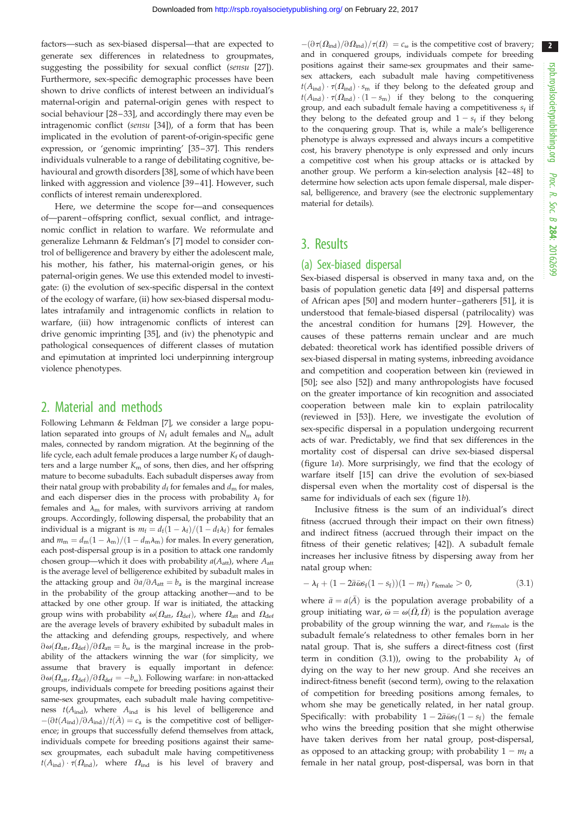factors—such as sex-biased dispersal—that are expected to generate sex differences in relatedness to groupmates, suggesting the possibility for sexual conflict (sensu [\[27](#page-8-0)]). Furthermore, sex-specific demographic processes have been shown to drive conflicts of interest between an individual's maternal-origin and paternal-origin genes with respect to social behaviour [[28](#page-8-0)–33], and accordingly there may even be intragenomic conflict (sensu [[34](#page-8-0)]), of a form that has been implicated in the evolution of parent-of-origin-specific gene expression, or 'genomic imprinting' [[35](#page-8-0)–[37](#page-8-0)]. This renders individuals vulnerable to a range of debilitating cognitive, behavioural and growth disorders [[38\]](#page-8-0), some of which have been linked with aggression and violence [[39](#page-8-0) –[41](#page-8-0)]. However, such conflicts of interest remain underexplored.

Here, we determine the scope for—and consequences of—parent–offspring conflict, sexual conflict, and intragenomic conflict in relation to warfare. We reformulate and generalize Lehmann & Feldman's [[7](#page-7-0)] model to consider control of belligerence and bravery by either the adolescent male, his mother, his father, his maternal-origin genes, or his paternal-origin genes. We use this extended model to investigate: (i) the evolution of sex-specific dispersal in the context of the ecology of warfare, (ii) how sex-biased dispersal modulates intrafamily and intragenomic conflicts in relation to warfare, (iii) how intragenomic conflicts of interest can drive genomic imprinting [\[35](#page-8-0)], and (iv) the phenotypic and pathological consequences of different classes of mutation and epimutation at imprinted loci underpinning intergroup violence phenotypes.

## 2. Material and methods

Following Lehmann & Feldman [\[7](#page-7-0)], we consider a large population separated into groups of  $N_f$  adult females and  $N_m$  adult males, connected by random migration. At the beginning of the life cycle, each adult female produces a large number  $K_f$  of daughters and a large number  $K<sub>m</sub>$  of sons, then dies, and her offspring mature to become subadults. Each subadult disperses away from their natal group with probability  $d_f$  for females and  $d_m$  for males, and each disperser dies in the process with probability  $\lambda_f$  for females and  $\lambda$ <sub>m</sub> for males, with survivors arriving at random groups. Accordingly, following dispersal, the probability that an individual is a migrant is  $m_{\rm f} = d_{\rm f} (1 - \lambda_{\rm f}) / (1 - d_{\rm f} \lambda_{\rm f})$  for females and  $m_\text{m}=d_\text{m}(1-\lambda_\text{m})/(1-d_\text{m}\lambda_\text{m})$  for males. In every generation, each post-dispersal group is in a position to attack one randomly chosen group—which it does with probability  $a(A_{\text{att}})$ , where  $A_{\text{att}}$ is the average level of belligerence exhibited by subadult males in the attacking group and  $\partial a/\partial A_{\text{att}} = b_{\text{a}}$  is the marginal increase in the probability of the group attacking another—and to be attacked by one other group. If war is initiated, the attacking group wins with probability  $\omega(\Omega_{\text{att}}, \Omega_{\text{def}})$ , where  $\Omega_{\text{att}}$  and  $\Omega_{\text{def}}$ are the average levels of bravery exhibited by subadult males in the attacking and defending groups, respectively, and where  $\partial \omega(\Omega_{\text{att}}, \Omega_{\text{def}})/\partial \Omega_{\text{att}} = b_{\omega}$  is the marginal increase in the probability of the attackers winning the war (for simplicity, we assume that bravery is equally important in defence:  $\partial \omega(\Omega_{\text{att}}, \Omega_{\text{def}})/\partial \Omega_{\text{def}} = -b_{\omega}$ ). Following warfare: in non-attacked groups, individuals compete for breeding positions against their same-sex groupmates, each subadult male having competitiveness  $t(A_{\text{ind}})$ , where  $A_{\text{ind}}$  is his level of belligerence and  $-(\partial t(A_{\rm ind})/\partial A_{\rm ind})/t(\bar{A})=c_a$  is the competitive cost of belligerence; in groups that successfully defend themselves from attack, individuals compete for breeding positions against their samesex groupmates, each subadult male having competitiveness  $t(A_{\text{ind}}) \cdot \tau(\Omega_{\text{ind}})$ , where  $\Omega_{\text{ind}}$  is his level of bravery and

 $-(\partial \tau(\Omega_{\text{ind}})/\partial \Omega_{\text{ind}})/\tau(\Omega) = c_{\omega}$  is the competitive cost of bravery; and in conquered groups, individuals compete for breeding positions against their same-sex groupmates and their samesex attackers, each subadult male having competitiveness  $t(A_{\text{ind}}) \cdot \tau(\Omega_{\text{ind}}) \cdot s_{\text{m}}$  if they belong to the defeated group and  $t(A_{\text{ind}}) \cdot \tau(\Omega_{\text{ind}}) \cdot (1 - s_{\text{m}})$  if they belong to the conquering group, and each subadult female having a competitiveness  $s_f$  if they belong to the defeated group and  $1 - s_f$  if they belong to the conquering group. That is, while a male's belligerence phenotype is always expressed and always incurs a competitive cost, his bravery phenotype is only expressed and only incurs a competitive cost when his group attacks or is attacked by another group. We perform a kin-selection analysis [\[42](#page-8-0)–[48\]](#page-8-0) to determine how selection acts upon female dispersal, male dispersal, belligerence, and bravery (see the electronic supplementary material for details).

## 3. Results

## (a) Sex-biased dispersal

Sex-biased dispersal is observed in many taxa and, on the basis of population genetic data [[49\]](#page-8-0) and dispersal patterns of African apes [[50\]](#page-8-0) and modern hunter–gatherers [[51\]](#page-8-0), it is understood that female-biased dispersal (patrilocality) was the ancestral condition for humans [[29\]](#page-8-0). However, the causes of these patterns remain unclear and are much debated: theoretical work has identified possible drivers of sex-biased dispersal in mating systems, inbreeding avoidance and competition and cooperation between kin (reviewed in [[50\]](#page-8-0); see also [\[52](#page-8-0)]) and many anthropologists have focused on the greater importance of kin recognition and associated cooperation between male kin to explain patrilocality (reviewed in [[53\]](#page-8-0)). Here, we investigate the evolution of sex-specific dispersal in a population undergoing recurrent acts of war. Predictably, we find that sex differences in the mortality cost of dispersal can drive sex-biased dispersal ([figure 1](#page-2-0)a). More surprisingly, we find that the ecology of warfare itself [[15\]](#page-8-0) can drive the evolution of sex-biased dispersal even when the mortality cost of dispersal is the same for individuals of each sex ([figure 1](#page-2-0)b).

Inclusive fitness is the sum of an individual's direct fitness (accrued through their impact on their own fitness) and indirect fitness (accrued through their impact on the fitness of their genetic relatives; [\[42](#page-8-0)]). A subadult female increases her inclusive fitness by dispersing away from her natal group when:

$$
- \lambda_{\rm f} + (1 - 2\bar{a}\bar{\omega}s_{\rm f}(1 - s_{\rm f}))(1 - m_{\rm f}) r_{\rm female} > 0,
$$
\n(3.1)

where  $\bar{a} = a(\bar{A})$  is the population average probability of a group initiating war,  $\bar{\omega} = \omega(\bar{\Omega}, \bar{\Omega})$  is the population average probability of the group winning the war, and  $r_{\text{female}}$  is the subadult female's relatedness to other females born in her natal group. That is, she suffers a direct-fitness cost (first term in condition (3.1)), owing to the probability  $\lambda_f$  of dying on the way to her new group. And she receives an indirect-fitness benefit (second term), owing to the relaxation of competition for breeding positions among females, to whom she may be genetically related, in her natal group. Specifically: with probability  $1 - 2\bar{a}\bar{\omega}s_f(1 - s_f)$  the female who wins the breeding position that she might otherwise have taken derives from her natal group, post-dispersal, as opposed to an attacking group; with probability  $1 - m_f$  a female in her natal group, post-dispersal, was born in that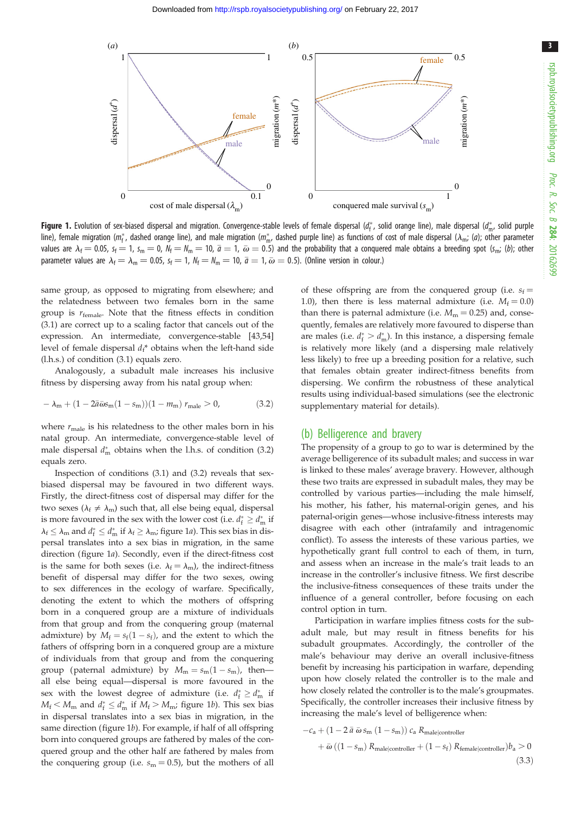3

<span id="page-2-0"></span>

**Figure 1.** Evolution of sex-biased dispersal and migration. Convergence-stable levels of female dispersal ( $d_f^*$ , solid orange line), male dispersal ( $d_m^*$ , solid purple line), female migration ( $m_f^*$ , dashed orange line), and male migration ( $m_m^*$ , dashed purple line) as functions of cost of male dispersal ( $\lambda_m$ ; (a); other parameter values are  $\lambda_{\rm f} =$  0.05, s<sub>f</sub>  $=$  1, s<sub>m</sub>  $=$  0,  $N_{\rm f}$   $=$   $N_{\rm m}$   $=$  10,  $\bar{a}$   $=$  1,  $\bar{\omega}$   $=$  0.5) and the probability that a conquered male obtains a breeding spot (s<sub>m</sub>; (b); other parameter values are  $\lambda_f = \lambda_m = 0.05$ ,  $s_f = 1$ ,  $N_f = N_m = 10$ ,  $\bar{a} = 1$ ,  $\bar{\omega} = 0.5$ ). (Online version in colour.)

same group, as opposed to migrating from elsewhere; and the relatedness between two females born in the same group is  $r_{\text{female}}$ . Note that the fitness effects in condition (3.1) are correct up to a scaling factor that cancels out of the expression. An intermediate, convergence-stable [\[43](#page-8-0),[54\]](#page-8-0) level of female dispersal  $d_f^*$  obtains when the left-hand side (l.h.s.) of condition (3.1) equals zero.

Analogously, a subadult male increases his inclusive fitness by dispersing away from his natal group when:

$$
- \lambda_{m} + (1 - 2\bar{a}\bar{\omega}s_{m}(1 - s_{m}))(1 - m_{m}) r_{male} > 0, \qquad (3.2)
$$

where  $r_{\text{male}}$  is his relatedness to the other males born in his natal group. An intermediate, convergence-stable level of male dispersal  $d_m^*$  obtains when the l.h.s. of condition (3.2) equals zero.

Inspection of conditions (3.1) and (3.2) reveals that sexbiased dispersal may be favoured in two different ways. Firstly, the direct-fitness cost of dispersal may differ for the two sexes ( $\lambda_f \neq \lambda_m$ ) such that, all else being equal, dispersal is more favoured in the sex with the lower cost (i.e.  $d_f^* \geq d_{\text{m}}^*$  if  $\lambda_f \leq \lambda_m$  and  $d_f^* \leq d_m^*$  if  $\lambda_f \geq \lambda_m$ ; figure 1*a*). This sex bias in dispersal translates into a sex bias in migration, in the same direction (figure 1a). Secondly, even if the direct-fitness cost is the same for both sexes (i.e.  $\lambda_f = \lambda_m$ ), the indirect-fitness benefit of dispersal may differ for the two sexes, owing to sex differences in the ecology of warfare. Specifically, denoting the extent to which the mothers of offspring born in a conquered group are a mixture of individuals from that group and from the conquering group (maternal admixture) by  $M_f = s_f(1 - s_f)$ , and the extent to which the fathers of offspring born in a conquered group are a mixture of individuals from that group and from the conquering group (paternal admixture) by  $M_m = s_m(1 - s_m)$ , then all else being equal—dispersal is more favoured in the sex with the lowest degree of admixture (i.e.  $d_f^* \geq d_m^*$  if  $M_f < M_m$  and  $d_f^* \leq d_m^*$  if  $M_f > M_{mi}$ ; figure 1b). This sex bias in dispersal translates into a sex bias in migration, in the same direction (figure 1b). For example, if half of all offspring born into conquered groups are fathered by males of the conquered group and the other half are fathered by males from the conquering group (i.e.  $s_m = 0.5$ ), but the mothers of all of these offspring are from the conquered group (i.e.  $s_f =$ 1.0), then there is less maternal admixture (i.e.  $M_f = 0.0$ ) than there is paternal admixture (i.e.  $M_m = 0.25$ ) and, consequently, females are relatively more favoured to disperse than are males (i.e.  $d_f^* > d_m^*$ ). In this instance, a dispersing female is relatively more likely (and a dispersing male relatively less likely) to free up a breeding position for a relative, such that females obtain greater indirect-fitness benefits from dispersing. We confirm the robustness of these analytical results using individual-based simulations (see the electronic supplementary material for details).

#### (b) Belligerence and bravery

The propensity of a group to go to war is determined by the average belligerence of its subadult males; and success in war is linked to these males' average bravery. However, although these two traits are expressed in subadult males, they may be controlled by various parties—including the male himself, his mother, his father, his maternal-origin genes, and his paternal-origin genes—whose inclusive-fitness interests may disagree with each other (intrafamily and intragenomic conflict). To assess the interests of these various parties, we hypothetically grant full control to each of them, in turn, and assess when an increase in the male's trait leads to an increase in the controller's inclusive fitness. We first describe the inclusive-fitness consequences of these traits under the influence of a general controller, before focusing on each control option in turn.

Participation in warfare implies fitness costs for the subadult male, but may result in fitness benefits for his subadult groupmates. Accordingly, the controller of the male's behaviour may derive an overall inclusive-fitness benefit by increasing his participation in warfare, depending upon how closely related the controller is to the male and how closely related the controller is to the male's groupmates. Specifically, the controller increases their inclusive fitness by increasing the male's level of belligerence when:

$$
-c_{a} + (1 - 2 \bar{a} \bar{\omega} s_{m} (1 - s_{m})) c_{a} R_{male|controller}
$$
  
+  $\bar{\omega} ((1 - s_{m}) R_{male|controller} + (1 - s_{f}) R_{female|controller}) b_{a} > 0$  (3.3)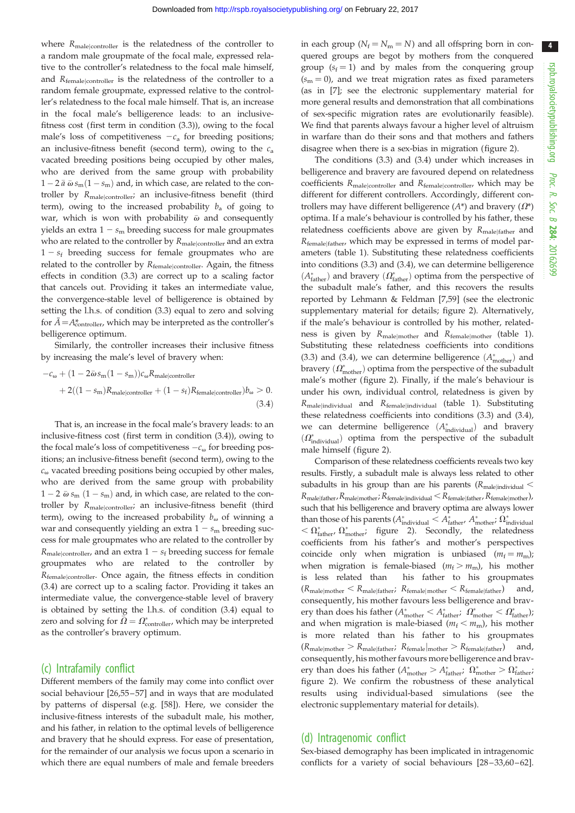4

where  $R_{\text{male}|\text{controller}}$  is the relatedness of the controller to a random male groupmate of the focal male, expressed relative to the controller's relatedness to the focal male himself, and Rfemalejcontroller is the relatedness of the controller to a random female groupmate, expressed relative to the controller's relatedness to the focal male himself. That is, an increase in the focal male's belligerence leads: to an inclusivefitness cost (first term in condition (3.3)), owing to the focal male's loss of competitiveness  $-c_a$  for breeding positions; an inclusive-fitness benefit (second term), owing to the  $c_a$ vacated breeding positions being occupied by other males, who are derived from the same group with probability  $1 - 2 \bar{a} \bar{\omega} s_{\rm m} (1 - s_{\rm m})$  and, in which case, are related to the controller by Rmale<sup>j</sup>controller; an inclusive-fitness benefit (third term), owing to the increased probability  $b_a$  of going to war, which is won with probability  $\bar{\omega}$  and consequently yields an extra  $1 - s<sub>m</sub>$  breeding success for male groupmates who are related to the controller by  $R_{\text{male}|\text{contracted}}$  and an extra  $1 - s_f$  breeding success for female groupmates who are related to the controller by  $R_{\text{female}|\text{contracter}}$ . Again, the fitness effects in condition (3.3) are correct up to a scaling factor that cancels out. Providing it takes an intermediate value, the convergence-stable level of belligerence is obtained by setting the l.h.s. of condition (3.3) equal to zero and solving for  $\bar{A} = A_{\text{controller}}^*$ , which may be interpreted as the controller's belligerence optimum.

Similarly, the controller increases their inclusive fitness by increasing the male's level of bravery when:

$$
-c_{\omega} + (1 - 2\bar{\omega}s_{m}(1 - s_{m}))c_{\omega}R_{\text{male}|\text{controller}}
$$

$$
+ 2((1 - s_{m})R_{\text{male}|\text{controller}} + (1 - s_{f})R_{\text{female}|\text{controller}})b_{\omega} > 0.
$$
(3.4)

That is, an increase in the focal male's bravery leads: to an inclusive-fitness cost (first term in condition (3.4)), owing to the focal male's loss of competitiveness  $-c_{\omega}$  for breeding positions; an inclusive-fitness benefit (second term), owing to the  $c_{\omega}$  vacated breeding positions being occupied by other males, who are derived from the same group with probability  $1 - 2 \bar{\omega} s_{\rm m} (1 - s_{\rm m})$  and, in which case, are related to the controller by Rmale<sup>j</sup>controller; an inclusive-fitness benefit (third term), owing to the increased probability  $b_{\omega}$  of winning a war and consequently yielding an extra  $1 - s<sub>m</sub>$  breeding success for male groupmates who are related to the controller by  $R_{\text{male}|\text{controller}}$ , and an extra  $1 - s_f$  breeding success for female groupmates who are related to the controller by Rfemale<sup>j</sup>controller. Once again, the fitness effects in condition (3.4) are correct up to a scaling factor. Providing it takes an intermediate value, the convergence-stable level of bravery is obtained by setting the l.h.s. of condition (3.4) equal to zero and solving for  $\bar{\Omega} = \Omega_{\text{controller}}^*$ , which may be interpreted as the controller's bravery optimum.

## (c) Intrafamily conflict

Different members of the family may come into conflict over social behaviour [[26,55](#page-8-0) –[57](#page-8-0)] and in ways that are modulated by patterns of dispersal (e.g. [[58\]](#page-8-0)). Here, we consider the inclusive-fitness interests of the subadult male, his mother, and his father, in relation to the optimal levels of belligerence and bravery that he should express. For ease of presentation, for the remainder of our analysis we focus upon a scenario in which there are equal numbers of male and female breeders

in each group ( $N_f = N_m = N$ ) and all offspring born in conquered groups are begot by mothers from the conquered group  $(s_f = 1)$  and by males from the conquering group  $(s<sub>m</sub> = 0)$ , and we treat migration rates as fixed parameters (as in [[7](#page-7-0)]; see the electronic supplementary material for more general results and demonstration that all combinations of sex-specific migration rates are evolutionarily feasible). We find that parents always favour a higher level of altruism in warfare than do their sons and that mothers and fathers disagree when there is a sex-bias in migration [\(figure 2](#page-4-0)).

The conditions (3.3) and (3.4) under which increases in belligerence and bravery are favoured depend on relatedness coefficients  $R_{male|controller}$  and  $R_{female|controller}$ , which may be different for different controllers. Accordingly, different controllers may have different belligerence  $(A^*)$  and bravery  $(\Omega^*)$ optima. If a male's behaviour is controlled by his father, these relatedness coefficients above are given by  $R_{\text{male} \text{father}}$  and Rfemalejfather, which may be expressed in terms of model parameters [\(table 1\)](#page-4-0). Substituting these relatedness coefficients into conditions (3.3) and (3.4), we can determine belligerence  $(A_{\rm father}^*)$  and bravery  $(\varOmega_{\rm father}^*)$  optima from the perspective of the subadult male's father, and this recovers the results reported by Lehmann & Feldman [\[7,](#page-7-0)[59\]](#page-8-0) (see the electronic supplementary material for details; [figure 2](#page-4-0)). Alternatively, if the male's behaviour is controlled by his mother, relatedness is given by  $R_{\text{male} \text{mother}}$  and  $R_{\text{female} \text{mother}}$  [\(table 1\)](#page-4-0). Substituting these relatedness coefficients into conditions (3.3) and (3.4), we can determine belligerence  $(A_{\text{mother}}^*)$  and bravery  $(\varOmega_{\mathrm{mother}}^*)$  optima from the perspective of the subadult male's mother ([figure 2\)](#page-4-0). Finally, if the male's behaviour is under his own, individual control, relatedness is given by Rmalejindividual and Rfemalejindividual [\(table 1\)](#page-4-0). Substituting these relatedness coefficients into conditions (3.3) and (3.4), we can determine belligerence  $(A_{indivial}^*)$  and bravery  $(\varOmega^*_{\rm individual})$  optima from the perspective of the subadult male himself ([figure 2](#page-4-0)).

Comparison of these relatedness coefficients reveals two key results. Firstly, a subadult male is always less related to other subadults in his group than are his parents ( $R_{\text{male}|\text{individual}}$  $R_{\text{male}|\text{father}}$ ,  $R_{\text{male}|\text{mother}}$ ;  $R_{\text{female}|\text{individual}}$   $<$   $R_{\text{female}|\text{father}}$ ,  $R_{\text{female}|\text{mother}}$ ), such that his belligerence and bravery optima are always lower than those of his parents ( $A_{individual}^* < A_{father}^*$ ,  $A_{mother}^*$ ;  $\Omega_{individual}^*$  $<\Omega^*_{\rm father},\ \Omega^*_{\rm mother};\ \hbox{figure}\ \ 2).$  Secondly, the relatedness coefficients from his father's and mother's perspectives coincide only when migration is unbiased  $(m_f = m_m)$ ; when migration is female-biased  $(m_f > m_m)$ , his mother is less related than his father to his groupmates  $(R_{\text{male}|\text{mother}} < R_{\text{male}|\text{father}}; R_{\text{female}|\text{mother}} < R_{\text{female}|\text{father}})$  and, consequently, his mother favours less belligerence and bravery than does his father ( $A^*_{\text{mother}} < A^*_{\text{father}}$ ;  $\Omega^*_{\text{mother}} < \Omega^*_{\text{father}}$ ); and when migration is male-biased ( $m_f < m_m$ ), his mother is more related than his father to his groupmates  $(R_{\text{male}|\text{mother}} > R_{\text{male}|\text{father}}; R_{\text{female}|\text{mother}} > R_{\text{female}|\text{father}})$  and, consequently, his mother favours more belligerence and bravery than does his father ( $A^*_{\text{mother}} > A^*_{\text{father}}$ ;  $\Omega^*_{\text{mother}} > \Omega^*_{\text{father}}$ ; [figure 2](#page-4-0)). We confirm the robustness of these analytical results using individual-based simulations (see the electronic supplementary material for details).

### (d) Intragenomic conflict

Sex-biased demography has been implicated in intragenomic conflicts for a variety of social behaviours [[28](#page-8-0)–[33,60](#page-8-0)–[62\]](#page-8-0).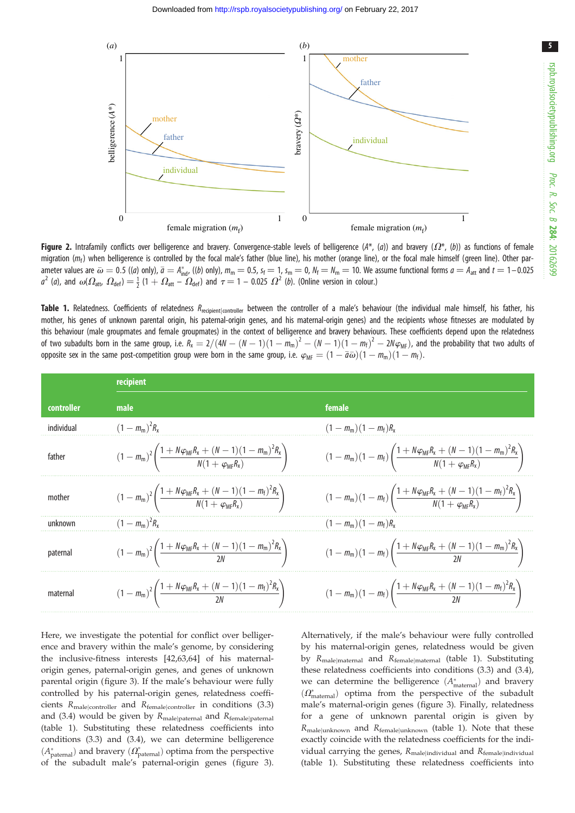<span id="page-4-0"></span>

Figure 2. Intrafamily conflicts over belligerence and bravery. Convergence-stable levels of belligerence ( $A^*$ , ( $a$ )) and bravery ( $\Omega^*$ , ( $b$ )) as functions of female migration ( $m_f$ ) when belligerence is controlled by the focal male's father (blue line), his mother (orange line), or the focal male himself (green line). Other parameter values are  $\bar{\omega} = 0.5$  ((*a*) only),  $\bar{a} = A_{\text{ind}}^*$ , ((*b*) only),  $m_m = 0.5$ ,  $s_f = 1$ ,  $s_m = 0$ ,  $N_f = N_m = 10$ . We assume functional forms  $a = A_{\text{att}}$  and  $t = 1 - 0.025$  $a^2$  (a), and  $\omega(\Omega_{\text{att}}, \Omega_{\text{det}}) = \frac{1}{2}(1 + \Omega_{\text{att}} - \Omega_{\text{det}})$  and  $\tau = 1 - 0.025 \Omega^2$  (b). (Online version in colour.)

Table 1. Relatedness. Coefficients of relatedness R<sub>recipient|controller</sub> between the controller of a male's behaviour (the individual male himself, his father, his mother, his genes of unknown parental origin, his paternal-origin genes, and his maternal-origin genes) and the recipients whose fitnesses are modulated by this behaviour (male groupmates and female groupmates) in the context of belligerence and bravery behaviours. These coefficients depend upon the relatedness of two subadults born in the same group, i.e.  $R_{\rm x}=2/(4N-(N-1)(1-m_{\rm m})^2-(N-1)(1-m_{\rm f})^2-2N\varphi_{\rm MF})$ , and the probability that two adults of opposite sex in the same post-competition group were born in the same group, i.e.  $\varphi_{\rm MF}=(1-\bar{a}\bar{\omega})(1-m_{\rm m})(1-m_{\rm f}).$ 

|            | recipient                                                                                                                                          |                                                                                                                                                          |  |  |  |  |  |
|------------|----------------------------------------------------------------------------------------------------------------------------------------------------|----------------------------------------------------------------------------------------------------------------------------------------------------------|--|--|--|--|--|
| controller | male                                                                                                                                               | female                                                                                                                                                   |  |  |  |  |  |
| individual | $(1 - m_{\rm m})^2 R_{\rm x}$                                                                                                                      | $(1 - m_{\rm m})(1 - m_{\rm f})R_{\rm x}$                                                                                                                |  |  |  |  |  |
| father     | $(1 - m_{\rm m})^2 \left( \frac{1 + N \varphi_{\rm MF} R_{\rm x} + (N - 1)(1 - m_{\rm m})^2 R_{\rm x}}{N(1 + \varphi_{\rm MF} R_{\rm x})} \right)$ | $(1 - m_{\rm m})(1 - m_{\rm f})\left(\frac{1 + N\varphi_{\rm MF}R_{\rm x} + (N - 1)(1 - m_{\rm m})^2R_{\rm x}}{N(1 + \varphi_{\rm MF}R_{\rm y})}\right)$ |  |  |  |  |  |
| mother     | $(1 - m_{\rm m})^2 \left( \frac{1 + N \varphi_{\rm MF} R_{\rm x} + (N - 1)(1 - m_{\rm f})^2 R_{\rm x}}{N(1 + \varphi_{\rm MF} R_{\rm y})} \right)$ | $(1 - m_{\rm m})(1 - m_{\rm f})\left(\frac{1 + N\varphi_{\rm MF}R_{\rm X} + (N-1)(1 - m_{\rm f})^2R_{\rm X}}{N(1 + \varphi_{\rm MF}R_{\rm Y})}\right)$   |  |  |  |  |  |
| unknown    | $(1 - m_m)^2 R_v$                                                                                                                                  | $(1 - m_{\rm m})(1 - m_{\rm f})R_{\rm x}$                                                                                                                |  |  |  |  |  |
| paternal   | $(1 - m_{\rm m})^2 \left( \frac{1 + N \varphi_{\rm MF} R_{\rm x} + (N - 1)(1 - m_{\rm m})^2 R_{\rm x}}{2N} \right)$                                | $(1 - m_{\rm m})(1 - m_{\rm f})\left(\frac{1 + N\varphi_{\rm MF}R_{\rm x} + (N - 1)(1 - m_{\rm m})^2R_{\rm x}}{2N}\right)$                               |  |  |  |  |  |
| maternal   | $(1 - m_{\rm m})^2 \left( \frac{1 + N \varphi_{\rm MF} R_{\rm x} + (N - 1)(1 - m_{\rm f})^2 R_{\rm x}}{2N} \right)$                                | $(1 - m_{\rm m})(1 - m_{\rm f})\left(\frac{1 + N\varphi_{\rm MF}R_{\rm x} + (N-1)(1 - m_{\rm f})^2R_{\rm x}}{2N}\right)$                                 |  |  |  |  |  |

Here, we investigate the potential for conflict over belligerence and bravery within the male's genome, by considering the inclusive-fitness interests [[42,63,64](#page-8-0)] of his maternalorigin genes, paternal-origin genes, and genes of unknown parental origin ([figure 3](#page-5-0)). If the male's behaviour were fully controlled by his paternal-origin genes, relatedness coefficients  $R_{\text{male}|\text{contracted}}$  and  $R_{\text{female}|\text{contracted}}$  in conditions (3.3) and (3.4) would be given by  $R_{\text{male}|\text{patternal}}$  and  $R_{\text{female}|\text{patternal}}$ (table 1). Substituting these relatedness coefficients into conditions (3.3) and (3.4), we can determine belligerence  $(A_{\text{patternal}}^*)$  and bravery  $(\Omega_{\text{patternal}}^*)$  optima from the perspective of the subadult male's paternal-origin genes ([figure 3](#page-5-0)).

Alternatively, if the male's behaviour were fully controlled by his maternal-origin genes, relatedness would be given by Rmalejmaternal and Rfemalejmaternal (table 1). Substituting these relatedness coefficients into conditions (3.3) and (3.4), we can determine the belligerence  $(A_{\text{material}}^*)$  and bravery  $(\varOmega^*_{\textrm{material}})$  optima from the perspective of the subadult male's maternal-origin genes ([figure 3](#page-5-0)). Finally, relatedness for a gene of unknown parental origin is given by  $R_{\text{malelunknown}}$  and  $R_{\text{femalelunknown}}$  (table 1). Note that these exactly coincide with the relatedness coefficients for the individual carrying the genes,  $R_{\text{male}|\text{individual}}$  and  $R_{\text{female}|\text{individual}}$ (table 1). Substituting these relatedness coefficients into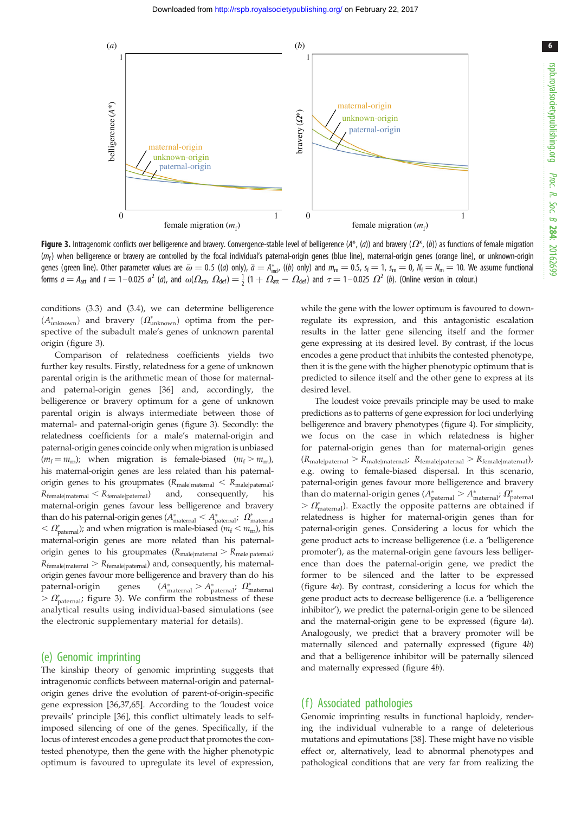6

<span id="page-5-0"></span>

Figure 3. Intragenomic conflicts over belligerence and bravery. Convergence-stable level of belligerence  $(A^*, (a))$  and bravery  $(\Omega^*, (b))$  as functions of female migration  $(m_f)$  when belligerence or bravery are controlled by the focal individual's paternal-origin genes (blue line), maternal-origin genes (orange line), or unknown-origin genes (green line). Other parameter values are  $\bar{\omega} = 0.5$  ((a) only),  $\bar{a} = A_{\text{ind}}^{*}$ , ((b) only) and  $m_{\text{m}} = 0.5$ ,  $s_{\text{f}} = 1$ ,  $s_{\text{m}} = 0$ ,  $N_{\text{f}} = N_{\text{m}} = 10$ . We assume functional forms  $a = A_{\text{att}}$  and  $t = 1 - 0.025$   $a^2$  (a), and  $\omega(\Omega_{\text{att}}\ \Omega_{\text{def}}) = \frac{1}{2}(1 + \Omega_{\text{att}}^2 - \Omega_{\text{def}})$  and  $\tau = 1 - 0.025$   $\Omega^2$  (b). (Online version in colour.)

conditions (3.3) and (3.4), we can determine belligerence  $(A_{\text{unknown}}^*)$  and bravery  $(\Omega_{\text{unknown}}^*)$  optima from the perspective of the subadult male's genes of unknown parental origin (figure 3).

Comparison of relatedness coefficients yields two further key results. Firstly, relatedness for a gene of unknown parental origin is the arithmetic mean of those for maternaland paternal-origin genes [[36\]](#page-8-0) and, accordingly, the belligerence or bravery optimum for a gene of unknown parental origin is always intermediate between those of maternal- and paternal-origin genes (figure 3). Secondly: the relatedness coefficients for a male's maternal-origin and paternal-origin genes coincide only when migration is unbiased  $(m_f = m_m)$ ; when migration is female-biased  $(m_f > m_m)$ , his maternal-origin genes are less related than his paternalorigin genes to his groupmates  $(R_{\text{male}|\text{material}} < R_{\text{male}|\text{patternal}})$  $R_{\text{female}|\text{material}} < R_{\text{female}|\text{patternal}})$  and, consequently, his maternal-origin genes favour less belligerence and bravery than do his paternal-origin genes ( $A^*_{\text{material}} < A^*_{\text{patternal}}$ ;  $\Omega^*_{\text{material}}$  $<\Omega^*_{\text{potential}}$ ); and when migration is male-biased ( $m_f < m_m$ ), his maternal-origin genes are more related than his paternalorigin genes to his groupmates  $(R_{\text{male}|\text{material}} > R_{\text{male}|\text{patternal}})$  $R_{\text{female}|\text{material}} > R_{\text{female}|\text{patternal}}$ ) and, consequently, his maternalorigin genes favour more belligerence and bravery than do his paternal-origin genes \*  $A_{\text{patternal}}^*$  :  $\Omega_{\text{material}}^*$  $> \Omega_{\text{potential}}^*$ ; figure 3). We confirm the robustness of these analytical results using individual-based simulations (see the electronic supplementary material for details).

#### (e) Genomic imprinting

The kinship theory of genomic imprinting suggests that intragenomic conflicts between maternal-origin and paternalorigin genes drive the evolution of parent-of-origin-specific gene expression [[36,37,65](#page-8-0)]. According to the 'loudest voice prevails' principle [[36](#page-8-0)], this conflict ultimately leads to selfimposed silencing of one of the genes. Specifically, if the locus of interest encodes a gene product that promotes the contested phenotype, then the gene with the higher phenotypic optimum is favoured to upregulate its level of expression, while the gene with the lower optimum is favoured to downregulate its expression, and this antagonistic escalation results in the latter gene silencing itself and the former gene expressing at its desired level. By contrast, if the locus encodes a gene product that inhibits the contested phenotype, then it is the gene with the higher phenotypic optimum that is predicted to silence itself and the other gene to express at its desired level.

The loudest voice prevails principle may be used to make predictions as to patterns of gene expression for loci underlying belligerence and bravery phenotypes ([figure 4\)](#page-6-0). For simplicity, we focus on the case in which relatedness is higher for paternal-origin genes than for maternal-origin genes  $(R_{\text{male}|\text{patternal}} > R_{\text{male}|\text{material}}; R_{\text{female}|\text{patternal}} > R_{\text{female}|\text{material}})$ e.g. owing to female-biased dispersal. In this scenario, paternal-origin genes favour more belligerence and bravery than do maternal-origin genes ( $A^*_{\text{patternal}} > A^*_{\text{material}}$ ;  $\Omega^*_{\text{patternal}}$  $> \Omega_{\text{material}}^*$ ). Exactly the opposite patterns are obtained if relatedness is higher for maternal-origin genes than for paternal-origin genes. Considering a locus for which the gene product acts to increase belligerence (i.e. a 'belligerence promoter'), as the maternal-origin gene favours less belligerence than does the paternal-origin gene, we predict the former to be silenced and the latter to be expressed ([figure 4](#page-6-0)a). By contrast, considering a locus for which the gene product acts to decrease belligerence (i.e. a 'belligerence inhibitor'), we predict the paternal-origin gene to be silenced and the maternal-origin gene to be expressed ([figure 4](#page-6-0)a). Analogously, we predict that a bravery promoter will be maternally silenced and paternally expressed [\(figure 4](#page-6-0)b) and that a belligerence inhibitor will be paternally silenced and maternally expressed ([figure 4](#page-6-0)b).

## (f) Associated pathologies

Genomic imprinting results in functional haploidy, rendering the individual vulnerable to a range of deleterious mutations and epimutations [[38\]](#page-8-0). These might have no visible effect or, alternatively, lead to abnormal phenotypes and pathological conditions that are very far from realizing the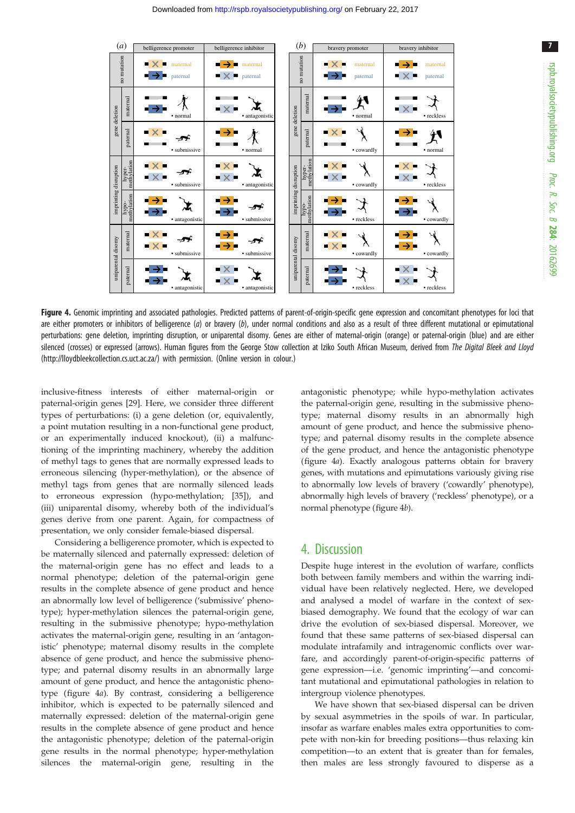<span id="page-6-0"></span>

| (a)                   |                       | belligerence promoter                                  | belligerence inhibitor                                       | (b)                   |                      |                       | bravery promoter                     | bravery inhibitor                                                                |
|-----------------------|-----------------------|--------------------------------------------------------|--------------------------------------------------------------|-----------------------|----------------------|-----------------------|--------------------------------------|----------------------------------------------------------------------------------|
| no mutation           |                       | $\mathsf{X}$ maternal<br>$\rightarrow$ paternal        | ◾→◾<br>maternal<br>$\mathbf{\times}$ $\blacksquare$ paternal |                       | no mutation          |                       | ■ × ■<br>maternal<br>╺╶┙<br>paternal | ∎ → ■<br>maternal<br>▪×▪<br>paternal                                             |
| gene deletion         | maternal              | • normal                                               | $\blacksquare$ $\times$ $\blacksquare$<br>· antagonistic     |                       | gene deletion        | maternal              | • normal                             | $\mathbb{R}$ $\times$<br>• reckless                                              |
|                       | paternal              | $\blacksquare$ $\times$ $\blacksquare$<br>· submissive | • normal                                                     |                       |                      | paternal              | $\mathbf{X}$<br>• cowardly           | • normal                                                                         |
| imprinting disruption | hyper-<br>methylation | - x -<br>• submissive                                  | $\mathbf{X}$<br>• antagonistic                               |                       |                      | hyper-<br>methylation | • cowardly                           | ▪×▪<br>$\mathbf{x}$<br>• reckless                                                |
|                       | hypo-<br>methylation  | · antagonistic                                         | • submissive                                                 | imprinting disruption | methylation<br>-od/u | • reckless            | • cowardly                           |                                                                                  |
| uniparental disomy    | maternal              | $\blacksquare$ $\times$ $\blacksquare$<br>· submissive | · submissive                                                 |                       | uniparental disomy   | maternal              | ▪×▪<br>• cowardly                    | • cowardly                                                                       |
|                       | paternal              | • antagonistic                                         | · antagonistic                                               |                       |                      | paternal              | • reckless                           | $\mathbb{\blacktriangleright} \times \mathbb{\blacktriangleright}$<br>• reckless |

Figure 4. Genomic imprinting and associated pathologies. Predicted patterns of parent-of-origin-specific gene expression and concomitant phenotypes for loci that are either promoters or inhibitors of belligerence (a) or bravery (b), under normal conditions and also as a result of three different mutational or epimutational perturbations: gene deletion, imprinting disruption, or uniparental disomy. Genes are either of maternal-origin (orange) or paternal-origin (blue) and are either silenced (crosses) or expressed (arrows). Human figures from the George Stow collection at Iziko South African Museum, derived from The Digital Bleek and Lloyd [\(http://lloydbleekcollection.cs.uct.ac.za/\)](http://lloydbleekcollection.cs.uct.ac.za/) with permission. (Online version in colour.)

inclusive-fitness interests of either maternal-origin or paternal-origin genes [\[29](#page-8-0)]. Here, we consider three different types of perturbations: (i) a gene deletion (or, equivalently, a point mutation resulting in a non-functional gene product, or an experimentally induced knockout), (ii) a malfunctioning of the imprinting machinery, whereby the addition of methyl tags to genes that are normally expressed leads to erroneous silencing (hyper-methylation), or the absence of methyl tags from genes that are normally silenced leads to erroneous expression (hypo-methylation; [[35\]](#page-8-0)), and (iii) uniparental disomy, whereby both of the individual's genes derive from one parent. Again, for compactness of presentation, we only consider female-biased dispersal.

Considering a belligerence promoter, which is expected to be maternally silenced and paternally expressed: deletion of the maternal-origin gene has no effect and leads to a normal phenotype; deletion of the paternal-origin gene results in the complete absence of gene product and hence an abnormally low level of belligerence ('submissive' phenotype); hyper-methylation silences the paternal-origin gene, resulting in the submissive phenotype; hypo-methylation activates the maternal-origin gene, resulting in an 'antagonistic' phenotype; maternal disomy results in the complete absence of gene product, and hence the submissive phenotype; and paternal disomy results in an abnormally large amount of gene product, and hence the antagonistic phenotype (figure 4a). By contrast, considering a belligerence inhibitor, which is expected to be paternally silenced and maternally expressed: deletion of the maternal-origin gene results in the complete absence of gene product and hence the antagonistic phenotype; deletion of the paternal-origin gene results in the normal phenotype; hyper-methylation silences the maternal-origin gene, resulting in the

antagonistic phenotype; while hypo-methylation activates the paternal-origin gene, resulting in the submissive phenotype; maternal disomy results in an abnormally high amount of gene product, and hence the submissive phenotype; and paternal disomy results in the complete absence of the gene product, and hence the antagonistic phenotype (figure 4a). Exactly analogous patterns obtain for bravery genes, with mutations and epimutations variously giving rise to abnormally low levels of bravery ('cowardly' phenotype), abnormally high levels of bravery ('reckless' phenotype), or a normal phenotype (figure 4b).

## 4. Discussion

Despite huge interest in the evolution of warfare, conflicts both between family members and within the warring individual have been relatively neglected. Here, we developed and analysed a model of warfare in the context of sexbiased demography. We found that the ecology of war can drive the evolution of sex-biased dispersal. Moreover, we found that these same patterns of sex-biased dispersal can modulate intrafamily and intragenomic conflicts over warfare, and accordingly parent-of-origin-specific patterns of gene expression—i.e. 'genomic imprinting'—and concomitant mutational and epimutational pathologies in relation to intergroup violence phenotypes.

We have shown that sex-biased dispersal can be driven by sexual asymmetries in the spoils of war. In particular, insofar as warfare enables males extra opportunities to compete with non-kin for breeding positions—thus relaxing kin competition—to an extent that is greater than for females, then males are less strongly favoured to disperse as a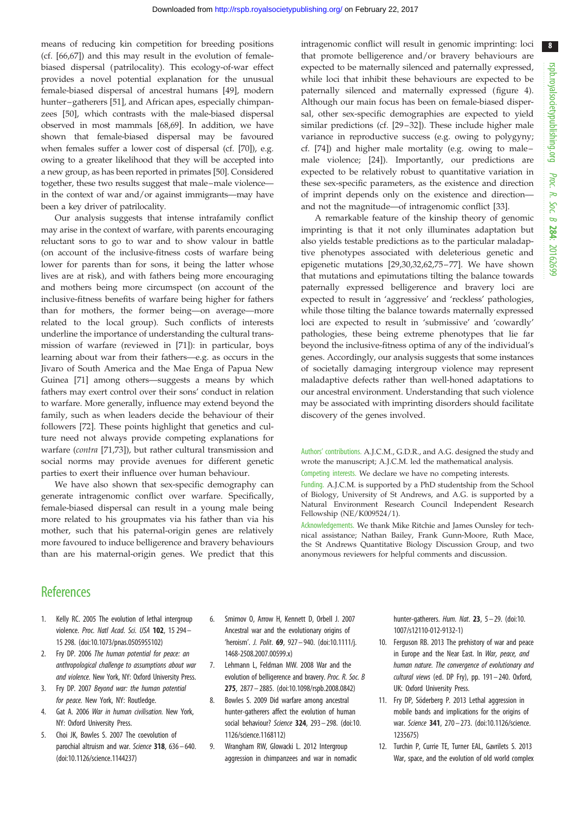<span id="page-7-0"></span>means of reducing kin competition for breeding positions (cf. [\[66](#page-8-0)[,67](#page-9-0)]) and this may result in the evolution of femalebiased dispersal (patrilocality). This ecology-of-war effect provides a novel potential explanation for the unusual female-biased dispersal of ancestral humans [[49\]](#page-8-0), modern hunter–gatherers [[51\]](#page-8-0), and African apes, especially chimpanzees [[50\]](#page-8-0), which contrasts with the male-biased dispersal observed in most mammals [[68](#page-9-0),[69](#page-9-0)]. In addition, we have shown that female-biased dispersal may be favoured when females suffer a lower cost of dispersal (cf. [\[70](#page-9-0)]), e.g. owing to a greater likelihood that they will be accepted into a new group, as has been reported in primates [[50](#page-8-0)]. Considered together, these two results suggest that male–male violence in the context of war and/or against immigrants—may have been a key driver of patrilocality.

Our analysis suggests that intense intrafamily conflict may arise in the context of warfare, with parents encouraging reluctant sons to go to war and to show valour in battle (on account of the inclusive-fitness costs of warfare being lower for parents than for sons, it being the latter whose lives are at risk), and with fathers being more encouraging and mothers being more circumspect (on account of the inclusive-fitness benefits of warfare being higher for fathers than for mothers, the former being—on average—more related to the local group). Such conflicts of interests underline the importance of understanding the cultural transmission of warfare (reviewed in [[71\]](#page-9-0)): in particular, boys learning about war from their fathers—e.g. as occurs in the Jivaro of South America and the Mae Enga of Papua New Guinea [[71\]](#page-9-0) among others—suggests a means by which fathers may exert control over their sons' conduct in relation to warfare. More generally, influence may extend beyond the family, such as when leaders decide the behaviour of their followers [\[72](#page-9-0)]. These points highlight that genetics and culture need not always provide competing explanations for warfare (contra [\[71,73\]](#page-9-0)), but rather cultural transmission and social norms may provide avenues for different genetic parties to exert their influence over human behaviour.

We have also shown that sex-specific demography can generate intragenomic conflict over warfare. Specifically, female-biased dispersal can result in a young male being more related to his groupmates via his father than via his mother, such that his paternal-origin genes are relatively more favoured to induce belligerence and bravery behaviours than are his maternal-origin genes. We predict that this intragenomic conflict will result in genomic imprinting: loci that promote belligerence and/or bravery behaviours are expected to be maternally silenced and paternally expressed, while loci that inhibit these behaviours are expected to be paternally silenced and maternally expressed [\(figure 4\)](#page-6-0). Although our main focus has been on female-biased dispersal, other sex-specific demographies are expected to yield similar predictions (cf. [[29](#page-8-0)-[32](#page-8-0)]). These include higher male variance in reproductive success (e.g. owing to polygyny; cf. [[74\]](#page-9-0)) and higher male mortality (e.g. owing to male– male violence; [[24\]](#page-8-0)). Importantly, our predictions are expected to be relatively robust to quantitative variation in these sex-specific parameters, as the existence and direction of imprint depends only on the existence and direction and not the magnitude—of intragenomic conflict [[33\]](#page-8-0).

A remarkable feature of the kinship theory of genomic imprinting is that it not only illuminates adaptation but also yields testable predictions as to the particular maladaptive phenotypes associated with deleterious genetic and epigenetic mutations [[29,30,32](#page-8-0),[62,](#page-8-0)[75](#page-9-0) –[77](#page-9-0)]. We have shown that mutations and epimutations tilting the balance towards paternally expressed belligerence and bravery loci are expected to result in 'aggressive' and 'reckless' pathologies, while those tilting the balance towards maternally expressed loci are expected to result in 'submissive' and 'cowardly' pathologies, these being extreme phenotypes that lie far beyond the inclusive-fitness optima of any of the individual's genes. Accordingly, our analysis suggests that some instances of societally damaging intergroup violence may represent maladaptive defects rather than well-honed adaptations to our ancestral environment. Understanding that such violence may be associated with imprinting disorders should facilitate discovery of the genes involved.

Authors' contributions. A.J.C.M., G.D.R., and A.G. designed the study and wrote the manuscript; A.J.C.M. led the mathematical analysis.

Competing interests. We declare we have no competing interests.

Funding. A.J.C.M. is supported by a PhD studentship from the School of Biology, University of St Andrews, and A.G. is supported by a Natural Environment Research Council Independent Research Fellowship (NE/K009524/1).

Acknowledgements. We thank Mike Ritchie and James Ounsley for technical assistance; Nathan Bailey, Frank Gunn-Moore, Ruth Mace, the St Andrews Quantitative Biology Discussion Group, and two anonymous reviewers for helpful comments and discussion.

## **References**

- 1. Kelly RC. 2005 The evolution of lethal intergroup violence. Proc. Natl Acad. Sci. USA 102, 15 294– 15 298. ([doi:10.1073/pnas.0505955102\)](http://dx.doi.org/10.1073/pnas.0505955102)
- 2. Fry DP. 2006 The human potential for peace: an anthropological challenge to assumptions about war and violence. New York, NY: Oxford University Press.
- 3. Fry DP. 2007 Beyond war: the human potential for peace. New York, NY: Routledge.
- 4. Gat A. 2006 War in human civilisation. New York, NY: Oxford University Press.
- 5. Choi JK, Bowles S. 2007 The coevolution of parochial altruism and war. Science 318, 636-640. [\(doi:10.1126/science.1144237\)](http://dx.doi.org/10.1126/science.1144237)
- 6. Smirnov O, Arrow H, Kennett D, Orbell J. 2007 Ancestral war and the evolutionary origins of 'heroism'. J. Polit. 69, 927– 940. [\(doi:10.1111/j.](http://dx.doi.org/10.1111/j.1468-2508.2007.00599.x) [1468-2508.2007.00599.x\)](http://dx.doi.org/10.1111/j.1468-2508.2007.00599.x)
- 7. Lehmann L, Feldman MW. 2008 War and the evolution of belligerence and bravery. Proc. R. Soc. B 275, 2877 – 2885. [\(doi:10.1098/rspb.2008.0842\)](http://dx.doi.org/10.1098/rspb.2008.0842)
- 8. Bowles S. 2009 Did warfare among ancestral hunter-gatherers affect the evolution of human social behaviour? Science 324, 293-298. [\(doi:10.](http://dx.doi.org/10.1126/science.1168112) [1126/science.1168112](http://dx.doi.org/10.1126/science.1168112))
- 9. Wrangham RW, Glowacki L. 2012 Intergroup aggression in chimpanzees and war in nomadic

hunter-gatherers. Hum. Nat. 23, 5-29. [\(doi:10.](http://dx.doi.org/10.1007/s12110-012-9132-1) [1007/s12110-012-9132-1](http://dx.doi.org/10.1007/s12110-012-9132-1))

- 10. Ferguson RB. 2013 The prehistory of war and peace in Europe and the Near East. In War, peace, and human nature. The convergence of evolutionary and cultural views (ed. DP Fry), pp. 191-240. Oxford, UK: Oxford University Press.
- 11. Fry DP, Söderberg P. 2013 Lethal aggression in mobile bands and implications for the origins of war. Science 341, 270-273. [\(doi:10.1126/science.](http://dx.doi.org/10.1126/science.1235675) [1235675](http://dx.doi.org/10.1126/science.1235675))
- 12. Turchin P, Currie TE, Turner EAL, Gavrilets S. 2013 War, space, and the evolution of old world complex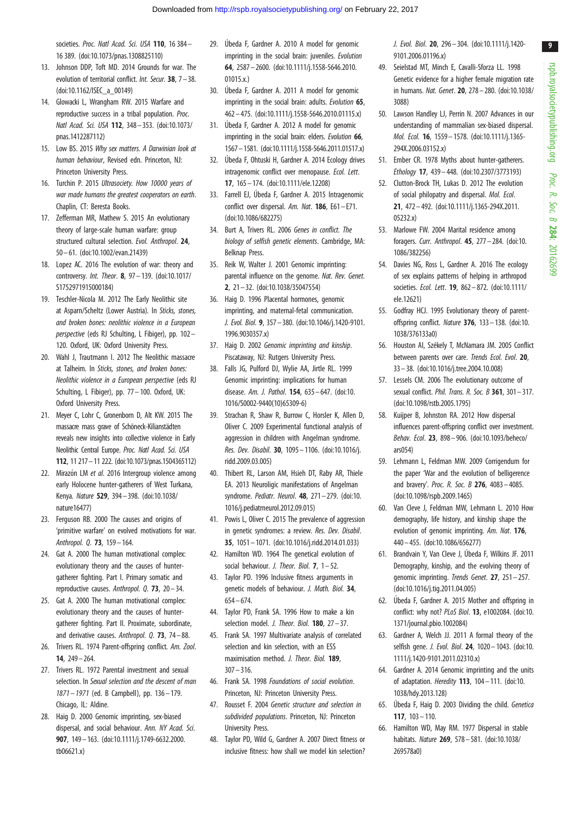<span id="page-8-0"></span>societies. Proc. Natl Acad. Sci. USA 110, 16 384-16 389. ([doi:10.1073/pnas.1308825110\)](http://dx.doi.org/10.1073/pnas.1308825110)

- 13. Johnson DDP, Toft MD. 2014 Grounds for war. The evolution of territorial conflict. Int. Secur. 38, 7– 38. [\(doi:10.1162/ISEC\\_a\\_00149](http://dx.doi.org/10.1162/ISEC_a_00149))
- 14. Glowacki L, Wrangham RW. 2015 Warfare and reproductive success in a tribal population. Proc. Natl Acad. Sci. USA 112, 348– 353. ([doi:10.1073/](http://dx.doi.org/10.1073/pnas.1412287112) [pnas.1412287112](http://dx.doi.org/10.1073/pnas.1412287112))
- 15. Low BS. 2015 Why sex matters. A Darwinian look at human behaviour, Revised edn. Princeton, NJ: Princeton University Press.
- 16. Turchin P. 2015 Ultrasociety. How 10000 years of war made humans the greatest cooperators on earth. Chaplin, CT: Beresta Books.
- 17. Zefferman MR, Mathew S. 2015 An evolutionary theory of large-scale human warfare: group structured cultural selection. Evol. Anthropol. 24, 50 – 61. ([doi:10.1002/evan.21439\)](http://dx.doi.org/10.1002/evan.21439)
- 18. Lopez AC. 2016 The evolution of war: theory and controversy. Int. Theor. 8, 97 – 139. [\(doi:10.1017/](http://dx.doi.org/10.1017/S1752971915000184) [S1752971915000184](http://dx.doi.org/10.1017/S1752971915000184))
- 19. Teschler-Nicola M. 2012 The Early Neolithic site at Asparn/Scheltz (Lower Austria). In Sticks, stones, and broken bones: neolithic violence in a European perspective (eds RJ Schulting, L Fibiger), pp. 102– 120. Oxford, UK: Oxford University Press.
- 20. Wahl J, Trautmann I. 2012 The Neolithic massacre at Talheim. In Sticks, stones, and broken bones: Neolithic violence in a European perspective (eds RJ Schulting, L Fibiger), pp. 77 – 100. Oxford, UK: Oxford University Press.
- 21. Meyer C, Lohr C, Gronenborn D, Alt KW. 2015 The massacre mass grave of Schöneck-Kilianstädten reveals new insights into collective violence in Early Neolithic Central Europe. Proc. Natl Acad. Sci. USA 112, 11 217–11 222. [\(doi:10.1073/pnas.1504365112](http://dx.doi.org/10.1073/pnas.1504365112))
- 22. Mirazón LM et al. 2016 Intergroup violence among early Holocene hunter-gatherers of West Turkana, Kenya. Nature 529, 394 – 398. [\(doi:10.1038/](http://dx.doi.org/10.1038/nature16477) [nature16477](http://dx.doi.org/10.1038/nature16477))
- 23. Ferguson RB. 2000 The causes and origins of 'primitive warfare' on evolved motivations for war. Anthropol. 0. **73**, 159 - 164.
- 24. Gat A. 2000 The human motivational complex: evolutionary theory and the causes of huntergatherer fighting. Part I. Primary somatic and reproductive causes. Anthropol.  $0.73$ ,  $20 - 34$ .
- 25. Gat A. 2000 The human motivational complex: evolutionary theory and the causes of huntergatherer fighting. Part II. Proximate, subordinate, and derivative causes. Anthropol.  $Q. 73$ ,  $74-88$ .
- 26. Trivers RL. 1974 Parent-offspring conflict. Am. Zool. 14, 249– 264.
- 27. Trivers RL. 1972 Parental investment and sexual selection. In Sexual selection and the descent of man 1871– 1971 (ed. B Campbell), pp. 136– 179. Chicago, IL: Aldine.
- 28. Haig D. 2000 Genomic imprinting, sex-biased dispersal, and social behaviour. Ann. NY Acad. Sci. 907, 149– 163. [\(doi:10.1111/j.1749-6632.2000.](http://dx.doi.org/10.1111/j.1749-6632.2000.tb06621.x) [tb06621.x](http://dx.doi.org/10.1111/j.1749-6632.2000.tb06621.x))
- 29. Úbeda F, Gardner A. 2010 A model for genomic imprinting in the social brain: juveniles. Evolution 64, 2587 – 2600. [\(doi:10.1111/j.1558-5646.2010.](http://dx.doi.org/10.1111/j.1558-5646.2010.01015.x.) [01015.x.](http://dx.doi.org/10.1111/j.1558-5646.2010.01015.x.))
- 30. Úbeda F, Gardner A. 2011 A model for genomic imprinting in the social brain: adults. Evolution 65, 462 – 475. [\(doi:10.1111/j.1558-5646.2010.01115.x](http://dx.doi.org/10.1111/j.1558-5646.2010.01115.x))
- 31. U´beda F, Gardner A. 2012 A model for genomic imprinting in the social brain: elders. Evolution 66, 1567–1581. [\(doi:10.1111/j.1558-5646.2011.01517.x](http://dx.doi.org/10.1111/j.1558-5646.2011.01517.x))
- 32. Úbeda F, Ohtuski H, Gardner A. 2014 Ecology drives intragenomic conflict over menopause. Ecol. Lett. 17, 165– 174. ([doi:10.1111/ele.12208\)](http://dx.doi.org/10.1111/ele.12208)
- 33. Farrell EJ, Úbeda F, Gardner A. 2015 Intragenomic conflict over dispersal. Am. Nat. 186, E61-E71. [\(doi:10.1086/682275\)](http://dx.doi.org/10.1086/682275)
- 34. Burt A, Trivers RL. 2006 Genes in conflict. The biology of selfish genetic elements. Cambridge, MA: Belknap Press.
- 35. Reik W, Walter J. 2001 Genomic imprinting: parental influence on the genome. Nat. Rev. Genet. 2, 21 – 32. [\(doi:10.1038/35047554\)](http://dx.doi.org/10.1038/35047554)
- 36. Haig D. 1996 Placental hormones, genomic imprinting, and maternal-fetal communication. J. Evol. Biol. 9, 357– 380. ([doi:10.1046/j.1420-9101.](http://dx.doi.org/10.1046/j.1420-9101.1996.9030357.x) [1996.9030357.x](http://dx.doi.org/10.1046/j.1420-9101.1996.9030357.x))
- 37. Haig D. 2002 Genomic imprinting and kinship. Piscataway, NJ: Rutgers University Press.
- 38. Falls JG, Pulford DJ, Wylie AA, Jirtle RL. 1999 Genomic imprinting: implications for human disease. Am. J. Pathol. 154, 635– 647. ([doi:10.](http://dx.doi.org/10.1016/S0002-9440(10)65309-6) [1016/S0002-9440\(10\)65309-6](http://dx.doi.org/10.1016/S0002-9440(10)65309-6))
- 39. Strachan R, Shaw R, Burrow C, Horsler K, Allen D, Oliver C. 2009 Experimental functional analysis of aggression in children with Angelman syndrome. Res. Dev. Disabil. 30, 1095 – 1106. ([doi:10.1016/j.](http://dx.doi.org/10.1016/j.ridd.2009.03.005) [ridd.2009.03.005](http://dx.doi.org/10.1016/j.ridd.2009.03.005))
- 40. Thibert RL, Larson AM, Hsieh DT, Raby AR, Thiele EA. 2013 Neuroligic manifestations of Angelman syndrome. Pediatr. Neurol. 48, 271– 279. [\(doi:10.](http://dx.doi.org/10.1016/j.pediatrneurol.2012.09.015) [1016/j.pediatrneurol.2012.09.015](http://dx.doi.org/10.1016/j.pediatrneurol.2012.09.015))
- 41. Powis L, Oliver C. 2015 The prevalence of aggression in genetic syndromes: a review. Res. Dev. Disabil. 35, 1051 – 1071. [\(doi:10.1016/j.ridd.2014.01.033\)](http://dx.doi.org/10.1016/j.ridd.2014.01.033)
- 42. Hamilton WD. 1964 The genetical evolution of social behaviour. *J. Theor. Biol.* **7**,  $1-52$ .
- 43. Taylor PD. 1996 Inclusive fitness arguments in genetic models of behaviour. J. Math. Biol. 34, 654 – 674.
- 44. Taylor PD, Frank SA. 1996 How to make a kin selection model. *J. Theor. Biol.* **180**,  $27 - 37$ .
- 45. Frank SA. 1997 Multivariate analysis of correlated selection and kin selection, with an ESS maximisation method. J. Theor. Biol. 189.  $307 - 316$
- 46. Frank SA. 1998 Foundations of social evolution. Princeton, NJ: Princeton University Press.
- 47. Rousset F. 2004 Genetic structure and selection in subdivided populations. Princeton, NJ: Princeton University Press.
- 48. Taylor PD, Wild G, Gardner A. 2007 Direct fitness or inclusive fitness: how shall we model kin selection?

J. Evol. Biol. 20, 296– 304. ([doi:10.1111/j.1420-](http://dx.doi.org/10.1111/j.1420-9101.2006.01196.x) [9101.2006.01196.x\)](http://dx.doi.org/10.1111/j.1420-9101.2006.01196.x)

- 49. Seielstad MT, Minch E, Cavalli-Sforza LL. 1998 Genetic evidence for a higher female migration rate in humans. Nat. Genet. 20, 278 – 280. [\(doi:10.1038/](http://dx.doi.org/10.1038/3088) [3088](http://dx.doi.org/10.1038/3088))
- 50. Lawson Handley LJ, Perrin N. 2007 Advances in our understanding of mammalian sex-biased dispersal. Mol. Ecol. 16, 1559 – 1578. [\(doi:10.1111/j.1365-](http://dx.doi.org/10.1111/j.1365-294X.2006.03152.x) [294X.2006.03152.x\)](http://dx.doi.org/10.1111/j.1365-294X.2006.03152.x)
- 51. Ember CR. 1978 Myths about hunter-gatherers. Ethology 17, 439– 448. ([doi:10.2307/3773193\)](http://dx.doi.org/10.2307/3773193)
- 52. Clutton-Brock TH, Lukas D. 2012 The evolution of social philopatry and dispersal. Mol. Ecol. 21, 472 – 492. [\(doi:10.1111/j.1365-294X.2011.](http://dx.doi.org/10.1111/j.1365-294X.2011.05232.x) [05232.x](http://dx.doi.org/10.1111/j.1365-294X.2011.05232.x))
- 53. Marlowe FW. 2004 Marital residence among foragers. Curr. Anthropol. 45, 277– 284. ([doi:10.](http://dx.doi.org/10.1086/382256) [1086/382256\)](http://dx.doi.org/10.1086/382256)
- 54. Davies NG, Ross L, Gardner A. 2016 The ecology of sex explains patterns of helping in arthropod societies. Ecol. Lett. 19, 862– 872. ([doi:10.1111/](http://dx.doi.org/10.1111/ele.12621) [ele.12621](http://dx.doi.org/10.1111/ele.12621))
- 55. Godfray HCJ. 1995 Evolutionary theory of parentoffspring conflict. Nature 376, 133– 138. ([doi:10.](http://dx.doi.org/10.1038/376133a0) [1038/376133a0](http://dx.doi.org/10.1038/376133a0))
- 56. Houston AI, Székely T, McNamara JM. 2005 Conflict between parents over care. Trends Ecol. Evol. 20, 33– 38. [\(doi:10.1016/j.tree.2004.10.008](http://dx.doi.org/10.1016/j.tree.2004.10.008))
- 57. Lessels CM. 2006 The evolutionary outcome of sexual conflict. *Phil. Trans. R. Soc. B* 361, 301 $-317$ . ([doi:10.1098/rstb.2005.1795](http://dx.doi.org/10.1098/rstb.2005.1795))
- 58. Kuijper B, Johnston RA. 2012 How dispersal influences parent-offspring conflict over investment. Behav. Ecol. 23, 898 – 906. ([doi:10.1093/beheco/](http://dx.doi.org/10.1093/beheco/ars054) [ars054\)](http://dx.doi.org/10.1093/beheco/ars054)
- 59. Lehmann L, Feldman MW. 2009 Corrigendum for the paper 'War and the evolution of belligerence and bravery'. Proc. R. Soc. B 276, 4083 – 4085. ([doi:10.1098/rspb.2009.1465\)](http://dx.doi.org/10.1098/rspb.2009.1465)
- 60. Van Cleve J, Feldman MW, Lehmann L. 2010 How demography, life history, and kinship shape the evolution of genomic imprinting. Am. Nat. 176, 440– 455. [\(doi:10.1086/656277](http://dx.doi.org/10.1086/656277))
- 61. Brandvain Y, Van Cleve J, U´beda F, Wilkins JF. 2011 Demography, kinship, and the evolving theory of genomic imprinting. Trends Genet. 27, 251– 257. ([doi:10.1016/j.tig.2011.04.005\)](http://dx.doi.org/10.1016/j.tig.2011.04.005)
- 62. U´beda F, Gardner A. 2015 Mother and offspring in conflict: why not? PLoS Biol. 13, e1002084. [\(doi:10.](http://dx.doi.org/10.1371/journal.pbio.1002084) [1371/journal.pbio.1002084\)](http://dx.doi.org/10.1371/journal.pbio.1002084)
- 63. Gardner A, Welch JJ. 2011 A formal theory of the selfish gene. *J. Evol. Biol.* **24**, 1020 - 1043. [\(doi:10.](http://dx.doi.org/10.1111/j.1420-9101.2011.02310.x) [1111/j.1420-9101.2011.02310.x\)](http://dx.doi.org/10.1111/j.1420-9101.2011.02310.x)
- 64. Gardner A. 2014 Genomic imprinting and the units of adaptation. Heredity  $113$ ,  $104 - 111$ . ([doi:10.](http://dx.doi.org/10.1038/hdy.2013.128) [1038/hdy.2013.128\)](http://dx.doi.org/10.1038/hdy.2013.128)
- 65. U´beda F, Haig D. 2003 Dividing the child. Genetica 117, 103– 110.
- 66. Hamilton WD, May RM. 1977 Dispersal in stable habitats. Nature 269, 578 – 581. ([doi:10.1038/](http://dx.doi.org/10.1038/269578a0) [269578a0](http://dx.doi.org/10.1038/269578a0))